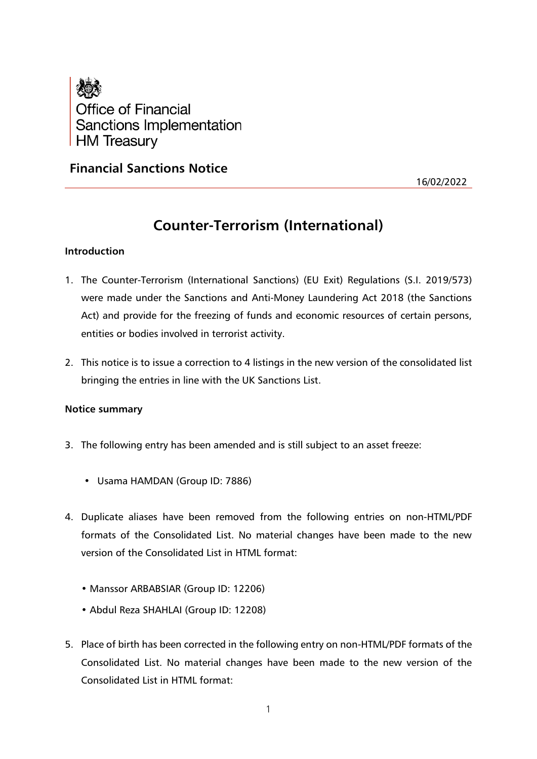

# **Financial Sanctions Notice**

16/02/2022

# **Counter-Terrorism (International)**

# **Introduction**

- 1. The Counter-Terrorism (International Sanctions) (EU Exit) Regulations (S.I. 2019/573) were made under the Sanctions and Anti-Money Laundering Act 2018 (the Sanctions Act) and provide for the freezing of funds and economic resources of certain persons, entities or bodies involved in terrorist activity.
- 2. This notice is to issue a correction to 4 listings in the new version of the consolidated list bringing the entries in line with the UK Sanctions List.

# **Notice summary**

- 3. The following entry has been amended and is still subject to an asset freeze:
	- Usama HAMDAN (Group ID: 7886)
- 4. Duplicate aliases have been removed from the following entries on non-HTML/PDF formats of the Consolidated List. No material changes have been made to the new version of the Consolidated List in HTML format:
	- Manssor ARBABSIAR (Group ID: 12206)
	- Abdul Reza SHAHLAI (Group ID: 12208)
- 5. Place of birth has been corrected in the following entry on non-HTML/PDF formats of the Consolidated List. No material changes have been made to the new version of the Consolidated List in HTML format: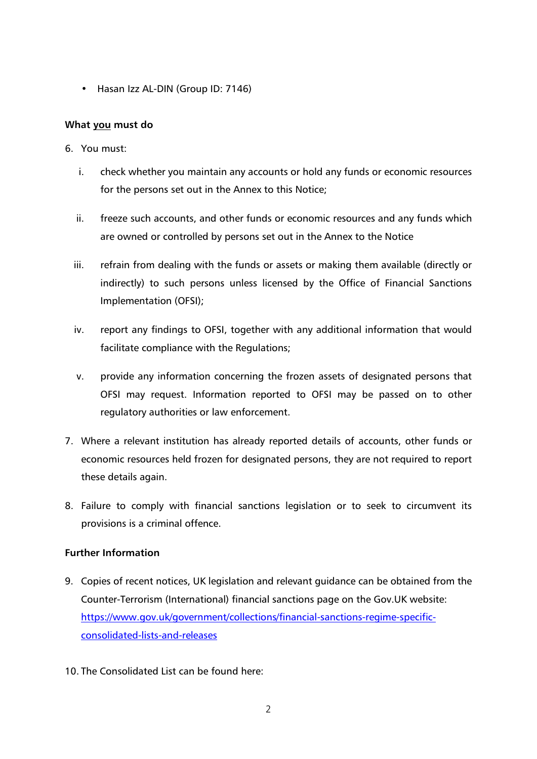• Hasan Izz AL-DIN (Group ID: 7146)

# **What you must do**

- 6. You must:
	- i. check whether you maintain any accounts or hold any funds or economic resources for the persons set out in the Annex to this Notice;
	- ii. freeze such accounts, and other funds or economic resources and any funds which are owned or controlled by persons set out in the Annex to the Notice
	- iii. refrain from dealing with the funds or assets or making them available (directly or indirectly) to such persons unless licensed by the Office of Financial Sanctions Implementation (OFSI);
	- iv. report any findings to OFSI, together with any additional information that would facilitate compliance with the Regulations;
	- v. provide any information concerning the frozen assets of designated persons that OFSI may request. Information reported to OFSI may be passed on to other regulatory authorities or law enforcement.
- 7. Where a relevant institution has already reported details of accounts, other funds or economic resources held frozen for designated persons, they are not required to report these details again.
- 8. Failure to comply with financial sanctions legislation or to seek to circumvent its provisions is a criminal offence.

# **Further Information**

- 9. Copies of recent notices, UK legislation and relevant guidance can be obtained from the Counter-Terrorism (International) financial sanctions page on the Gov.UK website: [https://www.gov.uk/government/collections/financial-sanctions-regime-specific](https://www.gov.uk/government/collections/financial-sanctions-regime-specific-consolidated-lists-and-releases)[consolidated-lists-and-releases](https://www.gov.uk/government/collections/financial-sanctions-regime-specific-consolidated-lists-and-releases)
- 10. The Consolidated List can be found here: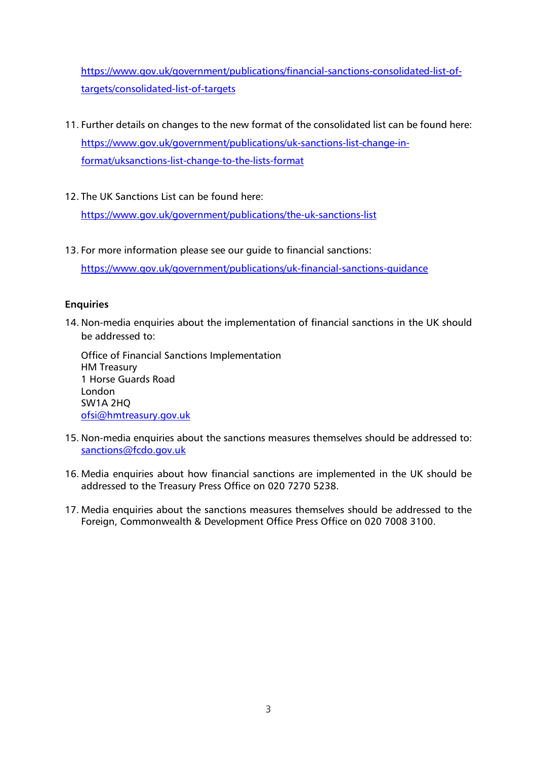[https://www.gov.uk/government/publications/financial-sanctions-consolidated-list-of](https://www.gov.uk/government/publications/financial-sanctions-consolidated-list-of-targets/consolidated-list-of-targets)[targets/consolidated-list-of-targets](https://www.gov.uk/government/publications/financial-sanctions-consolidated-list-of-targets/consolidated-list-of-targets)

- 11. Further details on changes to the new format of the consolidated list can be found here: [https://www.gov.uk/government/publications/uk-sanctions-list-change-in](https://www.gov.uk/government/publications/uk-sanctions-list-change-in-format/uksanctions-list-change-to-the-lists-format)[format/uksanctions-list-change-to-the-lists-format](https://www.gov.uk/government/publications/uk-sanctions-list-change-in-format/uksanctions-list-change-to-the-lists-format)
- 12. The UK Sanctions List can be found here:

<https://www.gov.uk/government/publications/the-uk-sanctions-list>

13. For more information please see our guide to financial sanctions: <https://www.gov.uk/government/publications/uk-financial-sanctions-guidance>

# **Enquiries**

14. Non-media enquiries about the implementation of financial sanctions in the UK should be addressed to:

Office of Financial Sanctions Implementation HM Treasury 1 Horse Guards Road London SW1A 2HQ [ofsi@hmtreasury.gov.uk](mailto:ofsi@hmtreasury.gov.uk)

- 15. Non-media enquiries about the sanctions measures themselves should be addressed to: [sanctions@fcdo.gov.uk](mailto:sanctions@fcdo.gov.uk)
- 16. Media enquiries about how financial sanctions are implemented in the UK should be addressed to the Treasury Press Office on 020 7270 5238.
- 17. Media enquiries about the sanctions measures themselves should be addressed to the Foreign, Commonwealth & Development Office Press Office on 020 7008 3100.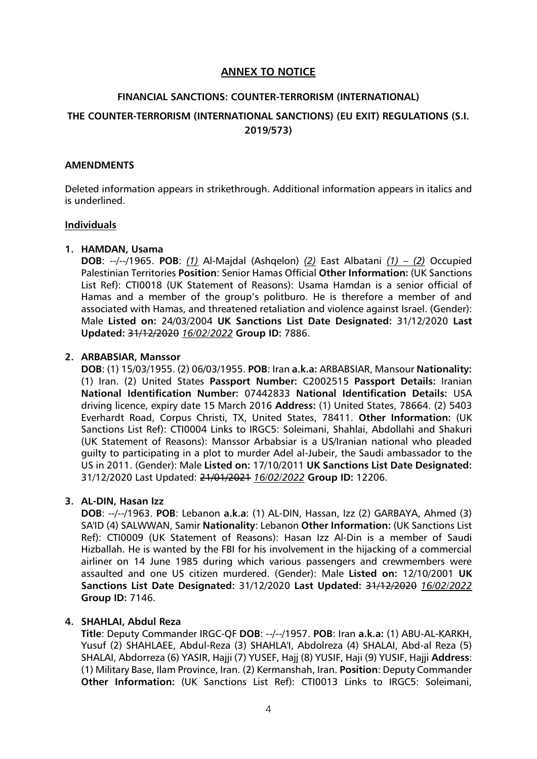# **ANNEX TO NOTICE**

# **FINANCIAL SANCTIONS: COUNTER-TERRORISM (INTERNATIONAL) THE COUNTER-TERRORISM (INTERNATIONAL SANCTIONS) (EU EXIT) REGULATIONS (S.I. 2019/573)**

#### **AMENDMENTS**

Deleted information appears in strikethrough. Additional information appears in italics and is underlined.

#### **Individuals**

### **1. HAMDAN, Usama**

**DOB**: --/--/1965. **POB**: *(1)* Al-Majdal (Ashqelon) *(2)* East Albatani *(1) – (2)* Occupied Palestinian Territories **Position**: Senior Hamas Official **Other Information:** (UK Sanctions List Ref): CTI0018 (UK Statement of Reasons): Usama Hamdan is a senior official of Hamas and a member of the group's politburo. He is therefore a member of and associated with Hamas, and threatened retaliation and violence against Israel. (Gender): Male **Listed on:** 24/03/2004 **UK Sanctions List Date Designated:** 31/12/2020 **Last Updated:** 31/12/2020 *16/02/2022* **Group ID:** 7886.

### **2. ARBABSIAR, Manssor**

**DOB**: (1) 15/03/1955. (2) 06/03/1955. **POB**: Iran **a.k.a:** ARBABSIAR, Mansour **Nationality:** (1) Iran. (2) United States **Passport Number:** C2002515 **Passport Details:** Iranian **National Identification Number:** 07442833 **National Identification Details:** USA driving licence, expiry date 15 March 2016 **Address:** (1) United States, 78664. (2) 5403 Everhardt Road, Corpus Christi, TX, United States, 78411. **Other Information:** (UK Sanctions List Ref): CTI0004 Links to IRGC5: Soleimani, Shahlai, Abdollahi and Shakuri (UK Statement of Reasons): Manssor Arbabsiar is a US/Iranian national who pleaded guilty to participating in a plot to murder Adel al-Jubeir, the Saudi ambassador to the US in 2011. (Gender): Male **Listed on:** 17/10/2011 **UK Sanctions List Date Designated:** 31/12/2020 Last Updated: 21/01/2021 *16/02/2022* **Group ID:** 12206.

# **3. AL-DIN, Hasan Izz**

**DOB**: --/--/1963. **POB**: Lebanon **a.k.a**: (1) AL-DIN, Hassan, Izz (2) GARBAYA, Ahmed (3) SA'ID (4) SALWWAN, Samir **Nationality**: Lebanon **Other Information:** (UK Sanctions List Ref): CTI0009 (UK Statement of Reasons): Hasan Izz Al-Din is a member of Saudi Hizballah. He is wanted by the FBI for his involvement in the hijacking of a commercial airliner on 14 June 1985 during which various passengers and crewmembers were assaulted and one US citizen murdered. (Gender): Male **Listed on:** 12/10/2001 **UK Sanctions List Date Designated:** 31/12/2020 **Last Updated:** 31/12/2020 *16/02/2022* **Group ID:** 7146.

# **4. SHAHLAI, Abdul Reza**

**Title**: Deputy Commander IRGC-QF **DOB**: --/--/1957. **POB**: Iran **a.k.a:** (1) ABU-AL-KARKH, Yusuf (2) SHAHLAEE, Abdul-Reza (3) SHAHLA'I, Abdolreza (4) SHALAI, Abd-al Reza (5) SHALAI, Abdorreza (6) YASIR, Hajji (7) YUSEF, Hajj (8) YUSIF, Haji (9) YUSIF, Hajji **Address**: (1) Military Base, Ilam Province, Iran. (2) Kermanshah, Iran. **Position**: Deputy Commander **Other Information:** (UK Sanctions List Ref): CTI0013 Links to IRGC5: Soleimani,